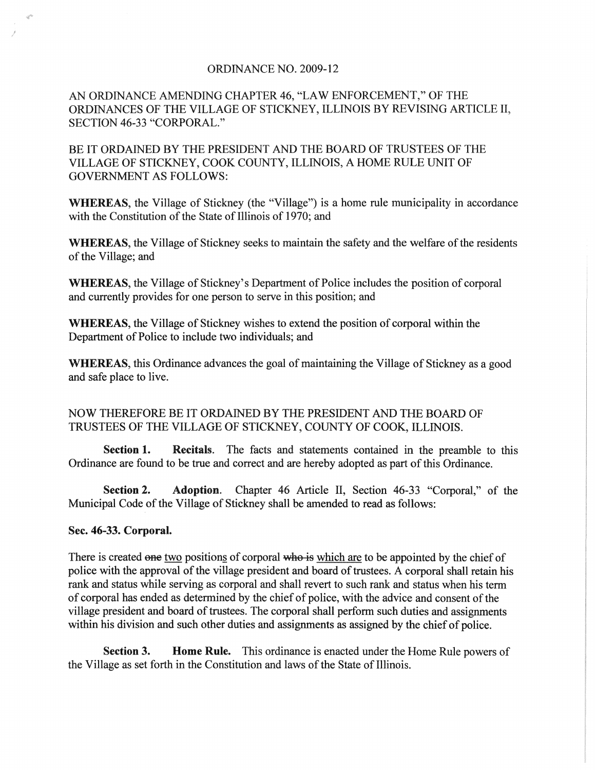## ORDINANCE NO. 2009-12

AN ORDINANCE AMENDING CHAPTER 46, "LAW ENFORCEMENT," OF THE ORDINANCES OF THE VILLAGE OF STICKNEY, ILLINOIS BY REVISING ARTICLE II, SECTION 46-33 "CORPORAL."

BE IT ORDAINED BY THE PRESIDENT AND THE BOARD OF TRUSTEES OF THE VILLAGE OF STICKNEY, COOK COUNTY, ILLINOIS, A HOME RULE UNIT OF GOVERNMENT AS FOLLOWS:

WHEREAS, the Village of Stickney (the "Village") is a home rule municipality in accordance with the Constitution of the State of Illinois of 1970; and

WHEREAS, the Village of Stickney seeks to maintain the safety and the welfare of the residents of the Village; and

WHEREAS, the Village of Stickney's Department of Police includes the position of corporal and currently provides for one person to serve in this position; and

WHEREAS, the Village of Stickney wishes to extend the position of corporal within the Department of Police to include two individuals; and

WHEREAS, this Ordinance advances the goal of maintaining the Village of Stickney as a good and safe place to live.

## NOW THEREFORE BE IT ORDAINED BY THE PRESIDENT AND THE BOARD OF TRUSTEES OF THE VILLAGE OF STICKNEY, COUNTY OF COOK, ILLINOIS.

Section 1. Recitals. The facts and statements contained in the preamble to this Ordinance are found to be true and correct and are hereby adopted as part of this Ordinance.

Section 2. Adoption. Chapter 46 Article II, Section 46-33 "Corporal," of the Municipal Code of the Village of Stickney shall be amended to read as follows:

## Sec. 46-33. Corporal.

I

There is created one two positions of corporal who is which are to be appointed by the chief of police with the approval of the village president and board of trustees. A corporal shall retain his rank and status while serving as corporal and shall revert to such rank and status when his term of corporal has ended as determined by the chief of police, with the advice and consent of the village president and board of trustees. The corporal shall perform such duties and assignments within his division and such other duties and assignments as assigned by the chief of police.

Section 3. Home Rule. This ordinance is enacted under the Home Rule powers of the Village as set forth in the Constitution and laws of the State of Illinois.